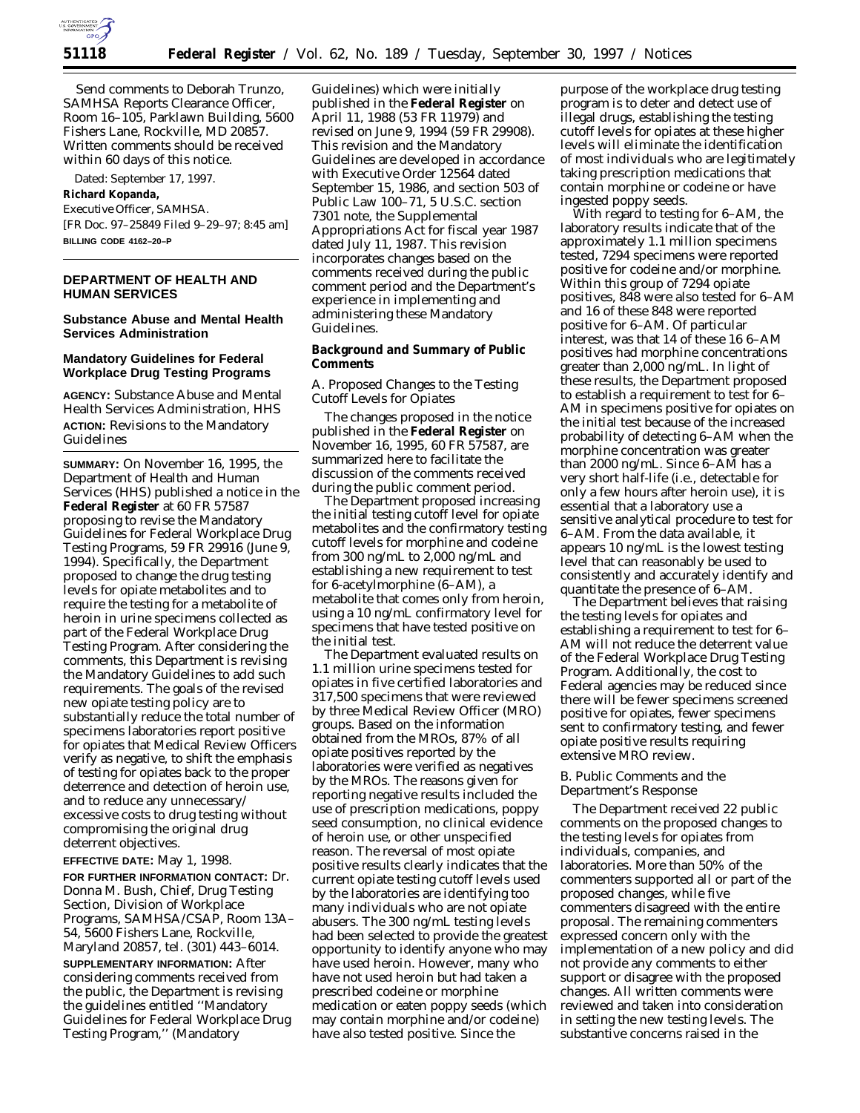

Send comments to Deborah Trunzo, SAMHSA Reports Clearance Officer, Room 16–105, Parklawn Building, 5600 Fishers Lane, Rockville, MD 20857. Written comments should be received within 60 days of this notice.

Dated: September 17, 1997.

#### **Richard Kopanda,**

*Executive Officer, SAMHSA.* [FR Doc. 97–25849 Filed 9–29–97; 8:45 am] **BILLING CODE 4162–20–P**

# **DEPARTMENT OF HEALTH AND HUMAN SERVICES**

### **Substance Abuse and Mental Health Services Administration**

## **Mandatory Guidelines for Federal Workplace Drug Testing Programs**

**AGENCY:** Substance Abuse and Mental Health Services Administration, HHS **ACTION:** Revisions to the Mandatory Guidelines

**SUMMARY:** On November 16, 1995, the Department of Health and Human Services (HHS) published a notice in the **Federal Register** at 60 FR 57587 proposing to revise the Mandatory Guidelines for Federal Workplace Drug Testing Programs, 59 FR 29916 (June 9, 1994). Specifically, the Department proposed to change the drug testing levels for opiate metabolites and to require the testing for a metabolite of heroin in urine specimens collected as part of the Federal Workplace Drug Testing Program. After considering the comments, this Department is revising the Mandatory Guidelines to add such requirements. The goals of the revised new opiate testing policy are to substantially reduce the total number of specimens laboratories report positive for opiates that Medical Review Officers verify as negative, to shift the emphasis of testing for opiates back to the proper deterrence and detection of heroin use, and to reduce any unnecessary/ excessive costs to drug testing without compromising the original drug deterrent objectives.

**EFFECTIVE DATE:** May 1, 1998.

**FOR FURTHER INFORMATION CONTACT:** Dr. Donna M. Bush, Chief, Drug Testing Section, Division of Workplace Programs, SAMHSA/CSAP, Room 13A– 54, 5600 Fishers Lane, Rockville, Maryland 20857, tel. (301) 443–6014.

**SUPPLEMENTARY INFORMATION:** After considering comments received from the public, the Department is revising the guidelines entitled ''Mandatory Guidelines for Federal Workplace Drug Testing Program,'' (Mandatory

Guidelines) which were initially published in the **Federal Register** on April 11, 1988 (53 FR 11979) and revised on June 9, 1994 (59 FR 29908). This revision and the Mandatory Guidelines are developed in accordance with Executive Order 12564 dated September 15, 1986, and section 503 of Public Law 100–71, 5 U.S.C. section 7301 note, the Supplemental Appropriations Act for fiscal year 1987 dated July 11, 1987. This revision incorporates changes based on the comments received during the public comment period and the Department's experience in implementing and administering these Mandatory Guidelines.

## **Background and Summary of Public Comments**

# *A. Proposed Changes to the Testing Cutoff Levels for Opiates*

The changes proposed in the notice published in the **Federal Register** on November 16, 1995, 60 FR 57587, are summarized here to facilitate the discussion of the comments received during the public comment period.

The Department proposed increasing the initial testing cutoff level for opiate metabolites and the confirmatory testing cutoff levels for morphine and codeine from 300 ng/mL to 2,000 ng/mL and establishing a new requirement to test for 6-acetylmorphine (6–AM), a metabolite that comes only from heroin, using a 10 ng/mL confirmatory level for specimens that have tested positive on the initial test.

The Department evaluated results on 1.1 million urine specimens tested for opiates in five certified laboratories and 317,500 specimens that were reviewed by three Medical Review Officer (MRO) groups. Based on the information obtained from the MROs, 87% of all opiate positives reported by the laboratories were verified as negatives by the MROs. The reasons given for reporting negative results included the use of prescription medications, poppy seed consumption, no clinical evidence of heroin use, or other unspecified reason. The reversal of most opiate positive results clearly indicates that the current opiate testing cutoff levels used by the laboratories are identifying too many individuals who are not opiate abusers. The 300 ng/mL testing levels had been selected to provide the greatest opportunity to identify anyone who may have used heroin. However, many who have not used heroin but had taken a prescribed codeine or morphine medication or eaten poppy seeds (which may contain morphine and/or codeine) have also tested positive. Since the

purpose of the workplace drug testing program is to deter and detect use of illegal drugs, establishing the testing cutoff levels for opiates at these higher levels will eliminate the identification of most individuals who are legitimately taking prescription medications that contain morphine or codeine or have ingested poppy seeds.

With regard to testing for 6–AM, the laboratory results indicate that of the approximately 1.1 million specimens tested, 7294 specimens were reported positive for codeine and/or morphine. Within this group of 7294 opiate positives, 848 were also tested for 6–AM and 16 of these 848 were reported positive for 6–AM. Of particular interest, was that 14 of these 16 6–AM positives had morphine concentrations greater than 2,000 ng/mL. In light of these results, the Department proposed to establish a requirement to test for 6– AM in specimens positive for opiates on the initial test because of the increased probability of detecting 6–AM when the morphine concentration was greater than 2000 ng/mL. Since 6–AM has a very short half-life (i.e., detectable for only a few hours after heroin use), it is essential that a laboratory use a sensitive analytical procedure to test for 6–AM. From the data available, it appears 10 ng/mL is the lowest testing level that can reasonably be used to consistently and accurately identify and quantitate the presence of 6–AM.

The Department believes that raising the testing levels for opiates and establishing a requirement to test for 6– AM will not reduce the deterrent value of the Federal Workplace Drug Testing Program. Additionally, the cost to Federal agencies may be reduced since there will be fewer specimens screened positive for opiates, fewer specimens sent to confirmatory testing, and fewer opiate positive results requiring extensive MRO review.

# *B. Public Comments and the Department's Response*

The Department received 22 public comments on the proposed changes to the testing levels for opiates from individuals, companies, and laboratories. More than 50% of the commenters supported all or part of the proposed changes, while five commenters disagreed with the entire proposal. The remaining commenters expressed concern only with the implementation of a new policy and did not provide any comments to either support or disagree with the proposed changes. All written comments were reviewed and taken into consideration in setting the new testing levels. The substantive concerns raised in the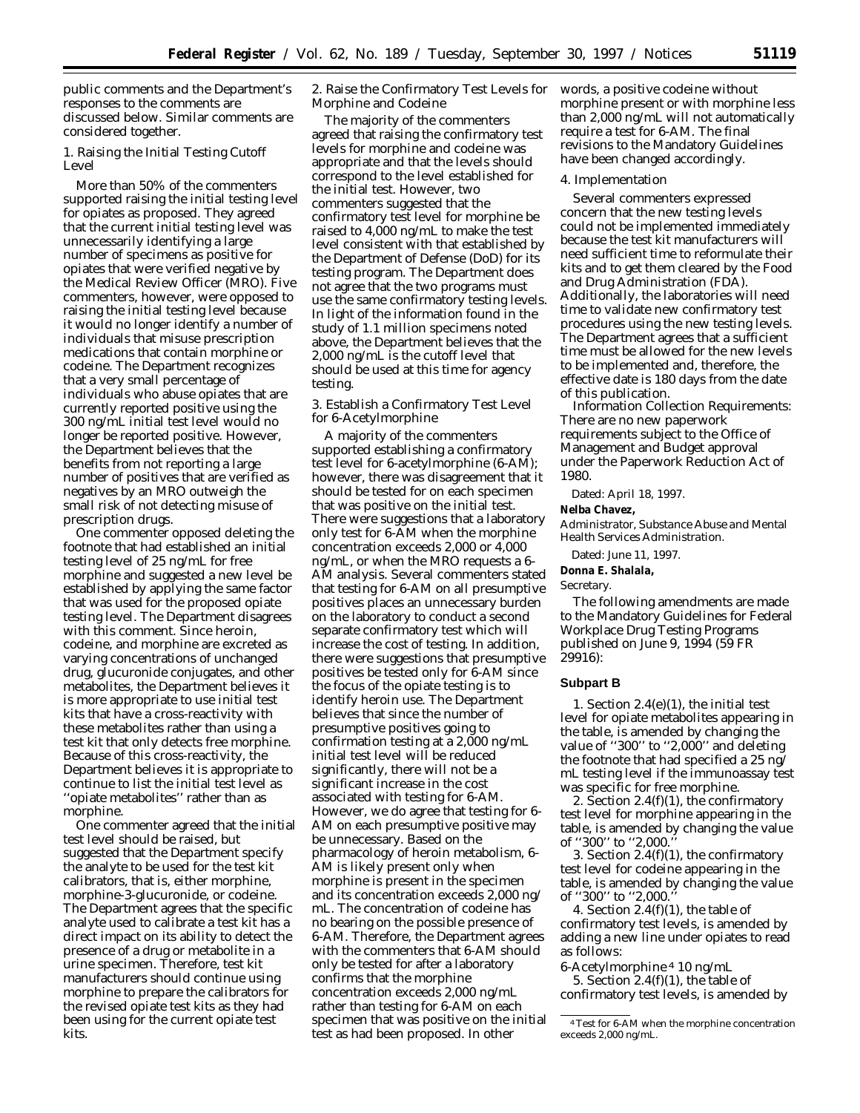public comments and the Department's responses to the comments are discussed below. Similar comments are considered together.

1. Raising the Initial Testing Cutoff Level

More than 50% of the commenters supported raising the initial testing level for opiates as proposed. They agreed that the current initial testing level was unnecessarily identifying a large number of specimens as positive for opiates that were verified negative by the Medical Review Officer (MRO). Five commenters, however, were opposed to raising the initial testing level because it would no longer identify a number of individuals that misuse prescription medications that contain morphine or codeine. The Department recognizes that a very small percentage of individuals who abuse opiates that are currently reported positive using the 300 ng/mL initial test level would no longer be reported positive. However, the Department believes that the benefits from not reporting a large number of positives that are verified as negatives by an MRO outweigh the small risk of not detecting misuse of prescription drugs.

One commenter opposed deleting the footnote that had established an initial testing level of 25 ng/mL for free morphine and suggested a new level be established by applying the same factor that was used for the proposed opiate testing level. The Department disagrees with this comment. Since heroin, codeine, and morphine are excreted as varying concentrations of unchanged drug, glucuronide conjugates, and other metabolites, the Department believes it is more appropriate to use initial test kits that have a cross-reactivity with these metabolites rather than using a test kit that only detects free morphine. Because of this cross-reactivity, the Department believes it is appropriate to continue to list the initial test level as ''opiate metabolites'' rather than as morphine.

One commenter agreed that the initial test level should be raised, but suggested that the Department specify the analyte to be used for the test kit calibrators, that is, either morphine, morphine-3-glucuronide, or codeine. The Department agrees that the specific analyte used to calibrate a test kit has a direct impact on its ability to detect the presence of a drug or metabolite in a urine specimen. Therefore, test kit manufacturers should continue using morphine to prepare the calibrators for the revised opiate test kits as they had been using for the current opiate test kits.

2. Raise the Confirmatory Test Levels for words, a positive codeine without Morphine and Codeine

The majority of the commenters agreed that raising the confirmatory test levels for morphine and codeine was appropriate and that the levels should correspond to the level established for the initial test. However, two commenters suggested that the confirmatory test level for morphine be raised to 4,000 ng/mL to make the test level consistent with that established by the Department of Defense (DoD) for its testing program. The Department does not agree that the two programs must use the same confirmatory testing levels. In light of the information found in the study of 1.1 million specimens noted above, the Department believes that the 2,000 ng/mL is the cutoff level that should be used at this time for agency testing.

3. Establish a Confirmatory Test Level for 6-Acetylmorphine

A majority of the commenters supported establishing a confirmatory test level for 6-acetylmorphine (6-AM); however, there was disagreement that it should be tested for on each specimen that was positive on the initial test. There were suggestions that a laboratory only test for 6-AM when the morphine concentration exceeds 2,000 or 4,000 ng/mL, or when the MRO requests a 6- AM analysis. Several commenters stated that testing for 6-AM on all presumptive positives places an unnecessary burden on the laboratory to conduct a second separate confirmatory test which will increase the cost of testing. In addition, there were suggestions that presumptive positives be tested only for 6-AM since the focus of the opiate testing is to identify heroin use. The Department believes that since the number of presumptive positives going to confirmation testing at a 2,000 ng/mL initial test level will be reduced significantly, there will not be a significant increase in the cost associated with testing for 6-AM. However, we do agree that testing for 6- AM on each presumptive positive may be unnecessary. Based on the pharmacology of heroin metabolism, 6- AM is likely present only when morphine is present in the specimen and its concentration exceeds 2,000 ng/ mL. The concentration of codeine has no bearing on the possible presence of 6-AM. Therefore, the Department agrees with the commenters that 6-AM should only be tested for after a laboratory confirms that the morphine concentration exceeds 2,000 ng/mL rather than testing for 6-AM on each specimen that was positive on the initial test as had been proposed. In other

morphine present or with morphine less than 2,000 ng/mL will not automatically require a test for 6-AM. The final revisions to the Mandatory Guidelines have been changed accordingly.

#### 4. Implementation

Several commenters expressed concern that the new testing levels could not be implemented immediately because the test kit manufacturers will need sufficient time to reformulate their kits and to get them cleared by the Food and Drug Administration (FDA). Additionally, the laboratories will need time to validate new confirmatory test procedures using the new testing levels. The Department agrees that a sufficient time must be allowed for the new levels to be implemented and, therefore, the effective date is 180 days from the date of this publication.

*Information Collection Requirements:* There are no new paperwork requirements subject to the Office of Management and Budget approval under the Paperwork Reduction Act of 1980.

Dated: April 18, 1997.

# **Nelba Chavez,**

*Administrator, Substance Abuse and Mental Health Services Administration.*

Dated: June 11, 1997.

**Donna E. Shalala,**

*Secretary.*

The following amendments are made to the Mandatory Guidelines for Federal Workplace Drug Testing Programs published on June 9, 1994 (59 FR 29916):

#### **Subpart B**

1. Section 2.4(e)(1), the initial test level for opiate metabolites appearing in the table, is amended by changing the value of ''300'' to ''2,000'' and deleting the footnote that had specified a 25 ng/ mL testing level if the immunoassay test was specific for free morphine.

2. Section  $2.4(f)(1)$ , the confirmatory test level for morphine appearing in the table, is amended by changing the value of ''300'' to ''2,000.''

3. Section 2.4(f)(1), the confirmatory test level for codeine appearing in the table, is amended by changing the value of "300" to "2,000.

4. Section  $2.4(f)(1)$ , the table of confirmatory test levels, is amended by adding a new line under opiates to read as follows:

6-Acetylmorphine 4 10 ng/mL 5. Section  $2.4(f)(1)$ , the table of confirmatory test levels, is amended by

<sup>4</sup>Test for 6-AM when the morphine concentration exceeds 2,000 ng/mL.